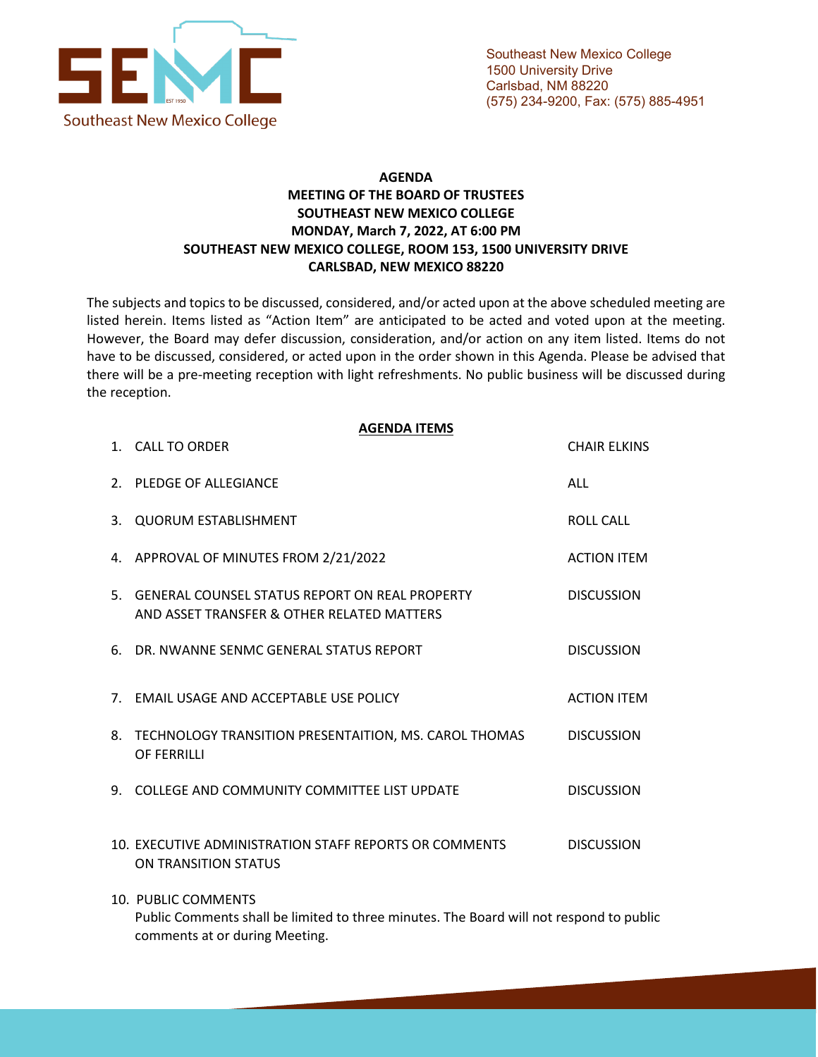

## **AGENDA MEETING OF THE BOARD OF TRUSTEES SOUTHEAST NEW MEXICO COLLEGE MONDAY, March 7, 2022, AT 6:00 PM SOUTHEAST NEW MEXICO COLLEGE, ROOM 153, 1500 UNIVERSITY DRIVE CARLSBAD, NEW MEXICO 88220**

The subjects and topics to be discussed, considered, and/or acted upon at the above scheduled meeting are listed herein. Items listed as "Action Item" are anticipated to be acted and voted upon at the meeting. However, the Board may defer discussion, consideration, and/or action on any item listed. Items do not have to be discussed, considered, or acted upon in the order shown in this Agenda. Please be advised that there will be a pre-meeting reception with light refreshments. No public business will be discussed during the reception.

|    | <b>AGENDA ITEMS</b><br>1. CALL TO ORDER                                                                        | <b>CHAIR ELKINS</b> |
|----|----------------------------------------------------------------------------------------------------------------|---------------------|
|    | 2. PLEDGE OF ALLEGIANCE                                                                                        | <b>ALL</b>          |
| 3. | <b>QUORUM ESTABLISHMENT</b>                                                                                    | <b>ROLL CALL</b>    |
|    | 4. APPROVAL OF MINUTES FROM 2/21/2022                                                                          | <b>ACTION ITEM</b>  |
|    | 5. GENERAL COUNSEL STATUS REPORT ON REAL PROPERTY<br>AND ASSET TRANSFER & OTHER RELATED MATTERS                | <b>DISCUSSION</b>   |
| 6. | DR. NWANNE SENMC GENERAL STATUS REPORT                                                                         | <b>DISCUSSION</b>   |
|    | 7. EMAIL USAGE AND ACCEPTABLE USE POLICY                                                                       | <b>ACTION ITEM</b>  |
|    | 8. TECHNOLOGY TRANSITION PRESENTAITION, MS. CAROL THOMAS<br><b>OF FERRILLI</b>                                 | <b>DISCUSSION</b>   |
|    | 9. COLLEGE AND COMMUNITY COMMITTEE LIST UPDATE                                                                 | <b>DISCUSSION</b>   |
|    | 10. EXECUTIVE ADMINISTRATION STAFF REPORTS OR COMMENTS<br>ON TRANSITION STATUS                                 | <b>DISCUSSION</b>   |
|    | 10. PUBLIC COMMENTS<br>Public Comments shall be limited to three minutes. The Board will not respond to public |                     |

comments at or during Meeting.